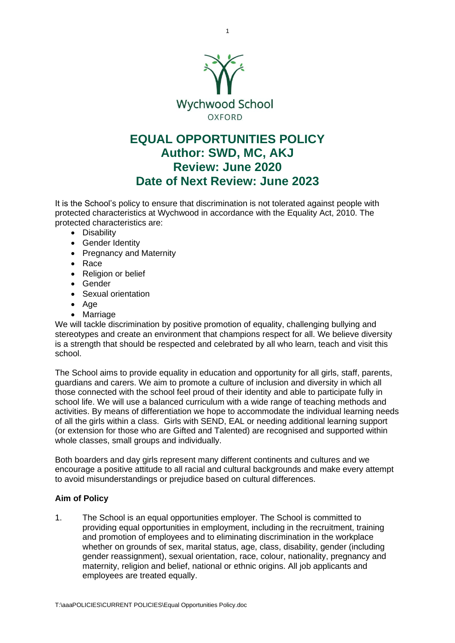

## **EQUAL OPPORTUNITIES POLICY Author: SWD, MC, AKJ Review: June 2020 Date of Next Review: June 2023**

It is the School's policy to ensure that discrimination is not tolerated against people with protected characteristics at Wychwood in accordance with the Equality Act, 2010. The protected characteristics are:

- Disability
- Gender Identity
- Pregnancy and Maternity
- Race
- Religion or belief
- Gender
- Sexual orientation
- Age
- Marriage

We will tackle discrimination by positive promotion of equality, challenging bullying and stereotypes and create an environment that champions respect for all. We believe diversity is a strength that should be respected and celebrated by all who learn, teach and visit this school.

The School aims to provide equality in education and opportunity for all girls, staff, parents, guardians and carers. We aim to promote a culture of inclusion and diversity in which all those connected with the school feel proud of their identity and able to participate fully in school life. We will use a balanced curriculum with a wide range of teaching methods and activities. By means of differentiation we hope to accommodate the individual learning needs of all the girls within a class. Girls with SEND, EAL or needing additional learning support (or extension for those who are Gifted and Talented) are recognised and supported within whole classes, small groups and individually.

Both boarders and day girls represent many different continents and cultures and we encourage a positive attitude to all racial and cultural backgrounds and make every attempt to avoid misunderstandings or prejudice based on cultural differences.

## **Aim of Policy**

1. The School is an equal opportunities employer. The School is committed to providing equal opportunities in employment, including in the recruitment, training and promotion of employees and to eliminating discrimination in the workplace whether on grounds of sex, marital status, age, class, disability, gender (including gender reassignment), sexual orientation, race, colour, nationality, pregnancy and maternity, religion and belief, national or ethnic origins. All job applicants and employees are treated equally.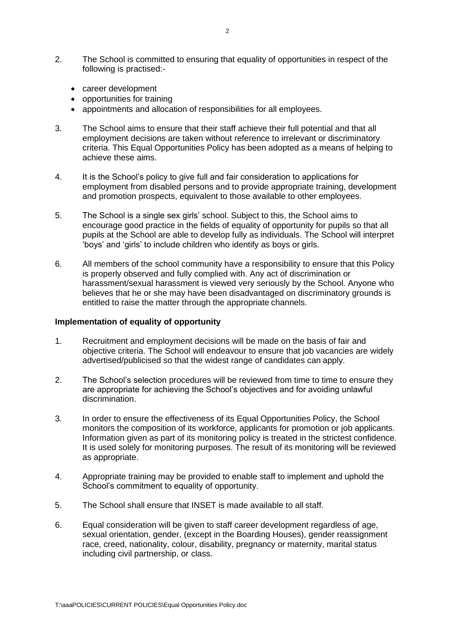- 2. The School is committed to ensuring that equality of opportunities in respect of the following is practised:-
	- career development
	- opportunities for training
	- appointments and allocation of responsibilities for all employees.
- 3. The School aims to ensure that their staff achieve their full potential and that all employment decisions are taken without reference to irrelevant or discriminatory criteria. This Equal Opportunities Policy has been adopted as a means of helping to achieve these aims.
- 4. It is the School's policy to give full and fair consideration to applications for employment from disabled persons and to provide appropriate training, development and promotion prospects, equivalent to those available to other employees.
- 5. The School is a single sex girls' school. Subject to this, the School aims to encourage good practice in the fields of equality of opportunity for pupils so that all pupils at the School are able to develop fully as individuals. The School will interpret 'boys' and 'girls' to include children who identify as boys or girls.
- 6. All members of the school community have a responsibility to ensure that this Policy is properly observed and fully complied with. Any act of discrimination or harassment/sexual harassment is viewed very seriously by the School. Anyone who believes that he or she may have been disadvantaged on discriminatory grounds is entitled to raise the matter through the appropriate channels.

## **Implementation of equality of opportunity**

- 1. Recruitment and employment decisions will be made on the basis of fair and objective criteria. The School will endeavour to ensure that job vacancies are widely advertised/publicised so that the widest range of candidates can apply.
- 2. The School's selection procedures will be reviewed from time to time to ensure they are appropriate for achieving the School's objectives and for avoiding unlawful discrimination.
- 3. In order to ensure the effectiveness of its Equal Opportunities Policy, the School monitors the composition of its workforce, applicants for promotion or job applicants. Information given as part of its monitoring policy is treated in the strictest confidence. It is used solely for monitoring purposes. The result of its monitoring will be reviewed as appropriate.
- 4. Appropriate training may be provided to enable staff to implement and uphold the School's commitment to equality of opportunity.
- 5. The School shall ensure that INSET is made available to all staff.
- 6. Equal consideration will be given to staff career development regardless of age, sexual orientation, gender, (except in the Boarding Houses), gender reassignment race, creed, nationality, colour, disability, pregnancy or maternity, marital status including civil partnership, or class.